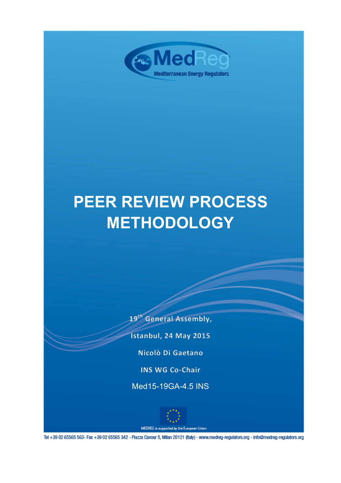

# **PEER REVIEW PROCESS METHODOLOGY**

19<sup>th</sup> General Assembly,

Istanbul, 24 May 2015

Nicolò Di Gaetano

**INS WG Co-Chair** 

Med15-19GA-4.5 INS



MEDREG is supported by the European Union

Tel +39 02 65565 563- Fax +39 02 65565 342 - Piazza Cavour 5, Milan 20121 (Italy) - www.medreg-regulators.org - info@medreg-regulators.org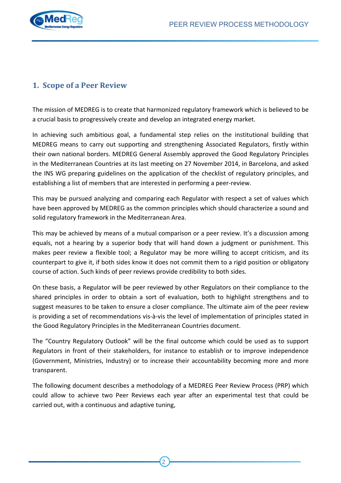

## **1. Scope of a Peer Review**

The mission of MEDREG is to create that harmonized regulatory framework which is believed to be a crucial basis to progressively create and develop an integrated energy market.

In achieving such ambitious goal, a fundamental step relies on the institutional building that MEDREG means to carry out supporting and strengthening Associated Regulators, firstly within their own national borders. MEDREG General Assembly approved the Good Regulatory Principles in the Mediterranean Countries at its last meeting on 27 November 2014, in Barcelona, and asked the INS WG preparing guidelines on the application of the checklist of regulatory principles, and establishing a list of members that are interested in performing a peer-review.

This may be pursued analyzing and comparing each Regulator with respect a set of values which have been approved by MEDREG as the common principles which should characterize a sound and solid regulatory framework in the Mediterranean Area.

This may be achieved by means of a mutual comparison or a peer review. It's a discussion among equals, not a hearing by a superior body that will hand down a judgment or punishment. This makes peer review a flexible tool; a Regulator may be more willing to accept criticism, and its counterpart to give it, if both sides know it does not commit them to a rigid position or obligatory course of action. Such kinds of peer reviews provide credibility to both sides.

On these basis, a Regulator will be peer reviewed by other Regulators on their compliance to the shared principles in order to obtain a sort of evaluation, both to highlight strengthens and to suggest measures to be taken to ensure a closer compliance. The ultimate aim of the peer review is providing a set of recommendations vis-à-vis the level of implementation of principles stated in the Good Regulatory Principles in the Mediterranean Countries document.

The "Country Regulatory Outlook" will be the final outcome which could be used as to support Regulators in front of their stakeholders, for instance to establish or to improve independence (Government, Ministries, Industry) or to increase their accountability becoming more and more transparent.

The following document describes a methodology of a MEDREG Peer Review Process (PRP) which could allow to achieve two Peer Reviews each year after an experimental test that could be carried out, with a continuous and adaptive tuning,

2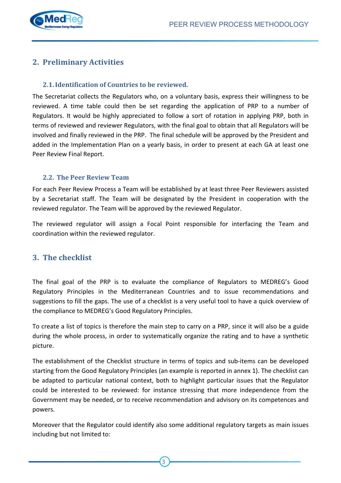

## **2. Preliminary Activities**

#### **2.1.** Identification of Countries to be reviewed.

The Secretariat collects the Regulators who, on a voluntary basis, express their willingness to be reviewed. A time table could then be set regarding the application of PRP to a number of Regulators. It would be highly appreciated to follow a sort of rotation in applying PRP, both in terms of reviewed and reviewer Regulators, with the final goal to obtain that all Regulators will be involved and finally reviewed in the PRP. The final schedule will be approved by the President and added in the Implementation Plan on a yearly basis, in order to present at each GA at least one Peer Review Final Report.

#### **2.2. The Peer Review Team**

For each Peer Review Process a Team will be established by at least three Peer Reviewers assisted by a Secretariat staff. The Team will be designated by the President in cooperation with the reviewed regulator. The Team will be approved by the reviewed Regulator.

The reviewed regulator will assign a Focal Point responsible for interfacing the Team and coordination within the reviewed regulator.

## **3. The checklist**

The final goal of the PRP is to evaluate the compliance of Regulators to MEDREG's Good Regulatory Principles in the Mediterranean Countries and to issue recommendations and suggestions to fill the gaps. The use of a checklist is a very useful tool to have a quick overview of the compliance to MEDREG's Good Regulatory Principles.

To create a list of topics is therefore the main step to carry on a PRP, since it will also be a guide during the whole process, in order to systematically organize the rating and to have a synthetic picture.

The establishment of the Checklist structure in terms of topics and sub-items can be developed starting from the Good Regulatory Principles (an example is reported in annex 1). The checklist can be adapted to particular national context, both to highlight particular issues that the Regulator could be interested to be reviewed: for instance stressing that more independence from the Government may be needed, or to receive recommendation and advisory on its competences and powers.

Moreover that the Regulator could identify also some additional regulatory targets as main issues including but not limited to:

3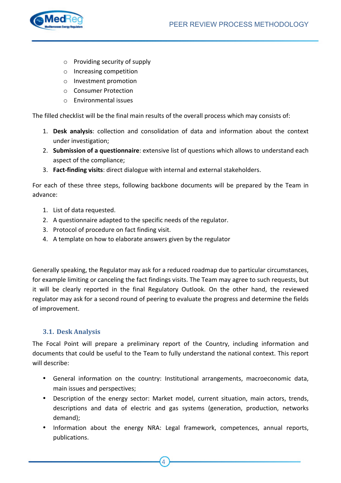

- $\circ$  Providing security of supply
- o Increasing competition
- o Investment promotion
- o Consumer Protection
- $\circ$  Fnvironmental issues

The filled checklist will be the final main results of the overall process which may consists of:

- 1. **Desk analysis**: collection and consolidation of data and information about the context under investigation;
- 2. **Submission of a questionnaire**: extensive list of questions which allows to understand each aspect of the compliance;
- 3. **Fact-finding visits**: direct dialogue with internal and external stakeholders.

For each of these three steps, following backbone documents will be prepared by the Team in advance:

- 1. List of data requested.
- 2. A questionnaire adapted to the specific needs of the regulator.
- 3. Protocol of procedure on fact finding visit.
- 4. A template on how to elaborate answers given by the regulator

Generally speaking, the Regulator may ask for a reduced roadmap due to particular circumstances, for example limiting or canceling the fact findings visits. The Team may agree to such requests, but it will be clearly reported in the final Regulatory Outlook. On the other hand, the reviewed regulator may ask for a second round of peering to evaluate the progress and determine the fields of improvement.

#### **3.1. Desk Analysis**

The Focal Point will prepare a preliminary report of the Country, including information and documents that could be useful to the Team to fully understand the national context. This report will describe:

- General information on the country: Institutional arrangements, macroeconomic data, main issues and perspectives;
- Description of the energy sector: Market model, current situation, main actors, trends, descriptions and data of electric and gas systems (generation, production, networks demand);
- Information about the energy NRA: Legal framework, competences, annual reports, publications.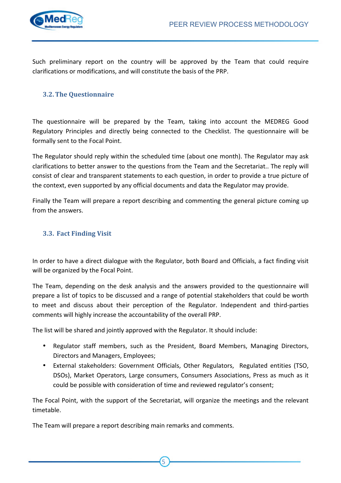

Such preliminary report on the country will be approved by the Team that could require clarifications or modifications, and will constitute the basis of the PRP.

#### **3.2.The Questionnaire**

The questionnaire will be prepared by the Team, taking into account the MEDREG Good Regulatory Principles and directly being connected to the Checklist. The questionnaire will be formally sent to the Focal Point.

The Regulator should reply within the scheduled time (about one month). The Regulator may ask clarifications to better answer to the questions from the Team and the Secretariat.. The reply will consist of clear and transparent statements to each question, in order to provide a true picture of the context, even supported by any official documents and data the Regulator may provide.

Finally the Team will prepare a report describing and commenting the general picture coming up from the answers.

#### **3.3. Fact Finding Visit**

In order to have a direct dialogue with the Regulator, both Board and Officials, a fact finding visit will be organized by the Focal Point.

The Team, depending on the desk analysis and the answers provided to the questionnaire will prepare a list of topics to be discussed and a range of potential stakeholders that could be worth to meet and discuss about their perception of the Regulator. Independent and third-parties comments will highly increase the accountability of the overall PRP.

The list will be shared and jointly approved with the Regulator. It should include:

- Regulator staff members, such as the President, Board Members, Managing Directors, Directors and Managers, Employees:
- External stakeholders: Government Officials, Other Regulators, Regulated entities (TSO, DSOs), Market Operators, Large consumers, Consumers Associations, Press as much as it could be possible with consideration of time and reviewed regulator's consent;

The Focal Point, with the support of the Secretariat, will organize the meetings and the relevant timetable.

5

The Team will prepare a report describing main remarks and comments.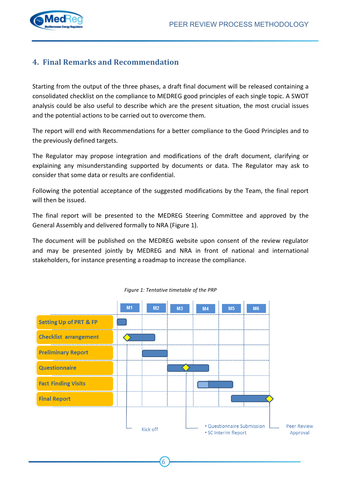

## **4. Final Remarks and Recommendation**

Starting from the output of the three phases, a draft final document will be released containing a consolidated checklist on the compliance to MEDREG good principles of each single topic. A SWOT analysis could be also useful to describe which are the present situation, the most crucial issues and the potential actions to be carried out to overcome them.

The report will end with Recommendations for a better compliance to the Good Principles and to the previously defined targets.

The Regulator may propose integration and modifications of the draft document, clarifying or explaining any misunderstanding supported by documents or data. The Regulator may ask to consider that some data or results are confidential.

Following the potential acceptance of the suggested modifications by the Team, the final report will then be issued.

The final report will be presented to the MEDREG Steering Committee and approved by the General Assembly and delivered formally to NRA (Figure 1).

The document will be published on the MEDREG website upon consent of the review regulator and may be presented jointly by MEDREG and NRA in front of national and international stakeholders, for instance presenting a roadmap to increase the compliance.



6

#### *Figure 1: Tentative timetable of the PRP*